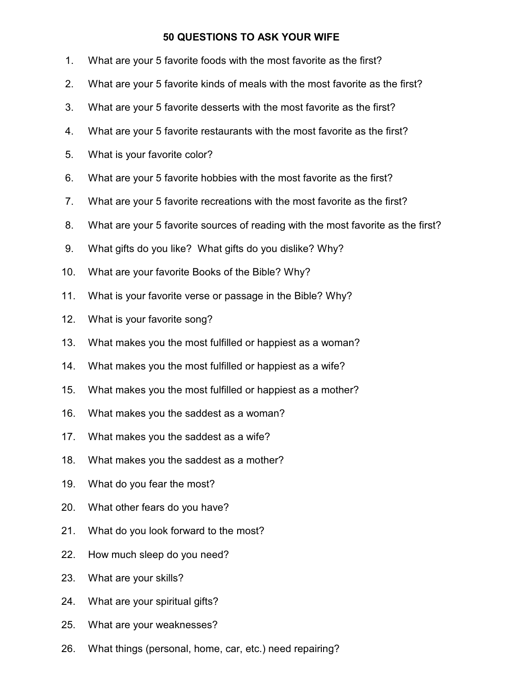## **50 QUESTIONS TO ASK YOUR WIFE**

- 1. What are your 5 favorite foods with the most favorite as the first? 2. What are your 5 favorite kinds of meals with the most favorite as the first? 3. What are your 5 favorite desserts with the most favorite as the first? 4. What are your 5 favorite restaurants with the most favorite as the first? 5. What is your favorite color? 6. What are your 5 favorite hobbies with the most favorite as the first? 7. What are your 5 favorite recreations with the most favorite as the first? 8. What are your 5 favorite sources of reading with the most favorite as the first? 9. What gifts do you like? What gifts do you dislike? Why? 10. What are your favorite Books of the Bible? Why? 11. What is your favorite verse or passage in the Bible? Why? 12. What is your favorite song? 13. What makes you the most fulfilled or happiest as a woman? 14. What makes you the most fulfilled or happiest as a wife? 15. What makes you the most fulfilled or happiest as a mother? 16. What makes you the saddest as a woman? 17. What makes you the saddest as a wife? 18. What makes you the saddest as a mother? 19. What do you fear the most? 20. What other fears do you have? 21. What do you look forward to the most? 22. How much sleep do you need? 23. What are your skills? 24. What are your spiritual gifts?
- 25. What are your weaknesses?
- 26. What things (personal, home, car, etc.) need repairing?